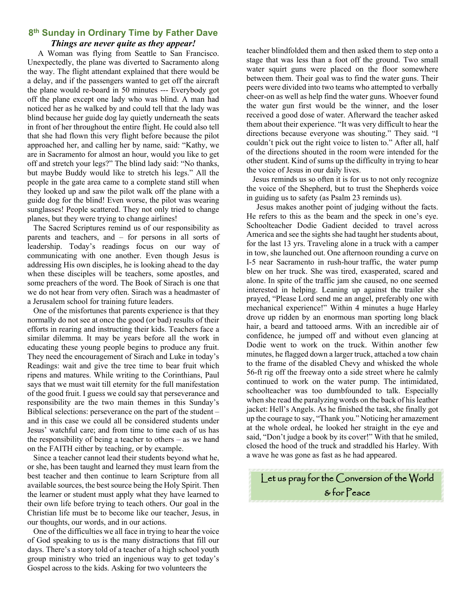## **8th Sunday in Ordinary Time by Father Dave** *Things are never quite as they appear!*

 A Woman was flying from Seattle to San Francisco. Unexpectedly, the plane was diverted to Sacramento along the way. The flight attendant explained that there would be a delay, and if the passengers wanted to get off the aircraft the plane would re-board in 50 minutes --- Everybody got off the plane except one lady who was blind. A man had noticed her as he walked by and could tell that the lady was blind because her guide dog lay quietly underneath the seats in front of her throughout the entire flight. He could also tell that she had flown this very flight before because the pilot approached her, and calling her by name, said: "Kathy, we are in Sacramento for almost an hour, would you like to get off and stretch your legs?" The blind lady said: "No thanks, but maybe Buddy would like to stretch his legs." All the people in the gate area came to a complete stand still when they looked up and saw the pilot walk off the plane with a guide dog for the blind! Even worse, the pilot was wearing sunglasses! People scattered. They not only tried to change planes, but they were trying to change airlines!

 The Sacred Scriptures remind us of our responsibility as parents and teachers, and – for persons in all sorts of leadership. Today's readings focus on our way of communicating with one another. Even though Jesus is addressing His own disciples, he is looking ahead to the day when these disciples will be teachers, some apostles, and some preachers of the word. The Book of Sirach is one that we do not hear from very often. Sirach was a headmaster of a Jerusalem school for training future leaders.

 One of the misfortunes that parents experience is that they normally do not see at once the good (or bad) results of their efforts in rearing and instructing their kids. Teachers face a similar dilemma. It may be years before all the work in educating these young people begins to produce any fruit. They need the encouragement of Sirach and Luke in today's Readings: wait and give the tree time to bear fruit which ripens and matures. While writing to the Corinthians, Paul says that we must wait till eternity for the full manifestation of the good fruit. I guess we could say that perseverance and responsibility are the two main themes in this Sunday's Biblical selections: perseverance on the part of the student – and in this case we could all be considered students under Jesus' watchful care; and from time to time each of us has the responsibility of being a teacher to others – as we hand on the FAITH either by teaching, or by example.

 Since a teacher cannot lead their students beyond what he, or she, has been taught and learned they must learn from the best teacher and then continue to learn Scripture from all available sources, the best source being the Holy Spirit. Then the learner or student must apply what they have learned to their own life before trying to teach others. Our goal in the Christian life must be to become like our teacher, Jesus, in our thoughts, our words, and in our actions.

 One of the difficulties we all face in trying to hear the voice of God speaking to us is the many distractions that fill our days. There's a story told of a teacher of a high school youth group ministry who tried an ingenious way to get today's Gospel across to the kids. Asking for two volunteers the

teacher blindfolded them and then asked them to step onto a stage that was less than a foot off the ground. Two small water squirt guns were placed on the floor somewhere between them. Their goal was to find the water guns. Their peers were divided into two teams who attempted to verbally cheer-on as well as help find the water guns. Whoever found the water gun first would be the winner, and the loser received a good dose of water. Afterward the teacher asked them about their experience. "It was very difficult to hear the directions because everyone was shouting." They said. "I couldn't pick out the right voice to listen to." After all, half of the directions shouted in the room were intended for the other student. Kind of sums up the difficulty in trying to hear the voice of Jesus in our daily lives.

 Jesus reminds us so often it is for us to not only recognize the voice of the Shepherd, but to trust the Shepherds voice in guiding us to safety (as Psalm 23 reminds us).

 Jesus makes another point of judging without the facts. He refers to this as the beam and the speck in one's eye. Schoolteacher Dodie Gadient decided to travel across America and see the sights she had taught her students about, for the last 13 yrs. Traveling alone in a truck with a camper in tow, she launched out. One afternoon rounding a curve on I-5 near Sacramento in rush-hour traffic, the water pump blew on her truck. She was tired, exasperated, scared and alone. In spite of the traffic jam she caused, no one seemed interested in helping. Leaning up against the trailer she prayed, "Please Lord send me an angel, preferably one with mechanical experience!" Within 4 minutes a huge Harley drove up ridden by an enormous man sporting long black hair, a beard and tattooed arms. With an incredible air of confidence, he jumped off and without even glancing at Dodie went to work on the truck. Within another few minutes, he flagged down a larger truck, attached a tow chain to the frame of the disabled Chevy and whisked the whole 56-ft rig off the freeway onto a side street where he calmly continued to work on the water pump. The intimidated, schoolteacher was too dumbfounded to talk. Especially when she read the paralyzing words on the back of his leather jacket: Hell's Angels. As he finished the task, she finally got up the courage to say, "Thank you." Noticing her amazement at the whole ordeal, he looked her straight in the eye and said, "Don't judge a book by its cover!" With that he smiled, closed the hood of the truck and straddled his Harley. With a wave he was gone as fast as he had appeared.